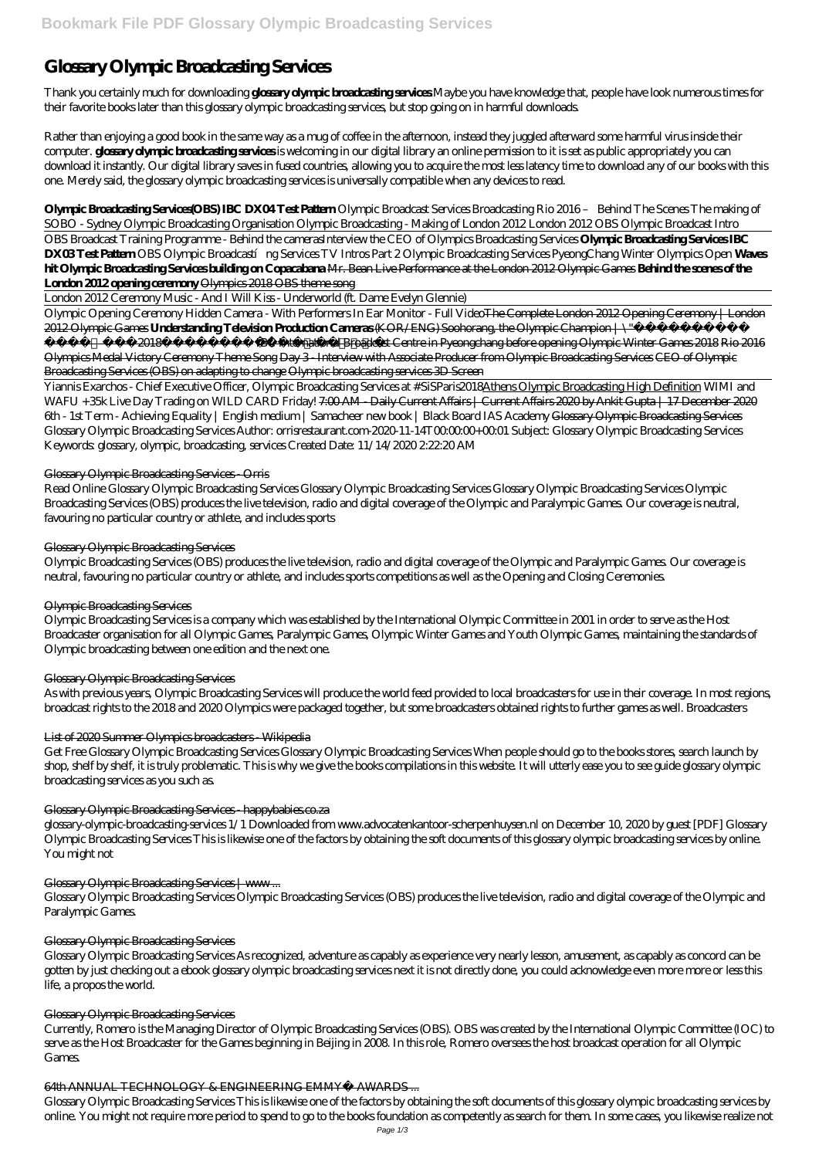# **Glossary Olympic Broadcasting Services**

Thank you certainly much for downloading **glossary olympic broadcasting services**.Maybe you have knowledge that, people have look numerous times for their favorite books later than this glossary olympic broadcasting services, but stop going on in harmful downloads.

Rather than enjoying a good book in the same way as a mug of coffee in the afternoon, instead they juggled afterward some harmful virus inside their computer. **glossary olympic broadcasting services** is welcoming in our digital library an online permission to it is set as public appropriately you can download it instantly. Our digital library saves in fused countries, allowing you to acquire the most less latency time to download any of our books with this one. Merely said, the glossary olympic broadcasting services is universally compatible when any devices to read.

Olympic Opening Ceremony Hidden Camera - With Performers In Ear Monitor - Full VideoThe Complete London 2012 Opening Ceremony | London 2012 Olympic Games **Understanding Television Production Cameras** (KOR/ENG) Soohorang, the Olympic Champion | \"

**Olympic Broadcasting Services(OBS) IBC DX04 Test Pattern** *Olympic Broadcast Services Broadcasting Rio 2016 – Behind The Scenes The making of SOBO - Sydney Olympic Broadcasting Organisation Olympic Broadcasting - Making of London 2012 London 2012 OBS Olympic Broadcast Intro*

 $\setminus$ "(2018  $\longrightarrow$  DIEC International Broadcast Centre in Pyeongchang before opening Olympic Winter Games 2018 Rio 2016 Olympics Medal Victory Ceremony Theme Song Day 3 - Interview with Associate Producer from Olympic Broadcasting Services CEO of Olympic Broadcasting Services (OBS) on adapting to change Olympic broadcasting services 3D Screen

OBS Broadcast Training Programme - Behind the cameras*Interview the CEO of Olympics Broadcasting Services* **Olympic Broadcasting Services IBC DX03Test Pattern** OBS Olympic Broadcastíng Services TV Intros Part 2 *Olympic Broadcasting Services PyeongChang Winter Olympics Open* Waves **hit Olympic Broadcasting Services building on Copacabana** Mr. Bean Live Performance at the London 2012 Olympic Games **Behind the scenes of the London 2012 opening ceremony** Olympics 2018 OBS theme song

London 2012 Ceremony Music - And I Will Kiss - Underworld (ft. Dame Evelyn Glennie)

Yiannis Exarchos - Chief Executive Officer, Olympic Broadcasting Services at #SiSParis2018Athens Olympic Broadcasting High Definition *WIMI and WAFU +35k Live Day Trading on WILD CARD Friday!* 7:00 AM - Daily Current Affairs | Current Affairs 2020 by Ankit Gupta | 17 December 2020 *6th - 1st Term - Achieving Equality | English medium | Samacheer new book | Black Board IAS Academy* Glossary Olympic Broadcasting Services Glossary Olympic Broadcasting Services Author: orrisrestaurant.com-2020-11-14T00:00.00+00:01 Subject: Glossary Olympic Broadcasting Services Keywords: glossary, olympic, broadcasting, services Created Date: 11/14/2020 2:22:20 AM

# Glossary Olympic Broadcasting Services - Orris

Read Online Glossary Olympic Broadcasting Services Glossary Olympic Broadcasting Services Glossary Olympic Broadcasting Services Olympic Broadcasting Services (OBS) produces the live television, radio and digital coverage of the Olympic and Paralympic Games. Our coverage is neutral, favouring no particular country or athlete, and includes sports

# Glossary Olympic Broadcasting Services

Olympic Broadcasting Services (OBS) produces the live television, radio and digital coverage of the Olympic and Paralympic Games. Our coverage is neutral, favouring no particular country or athlete, and includes sports competitions as well as the Opening and Closing Ceremonies.

# Olympic Broadcasting Services

Olympic Broadcasting Services is a company which was established by the International Olympic Committee in 2001 in order to serve as the Host Broadcaster organisation for all Olympic Games, Paralympic Games, Olympic Winter Games and Youth Olympic Games, maintaining the standards of Olympic broadcasting between one edition and the next one.

# Glossary Olympic Broadcasting Services

As with previous years, Olympic Broadcasting Services will produce the world feed provided to local broadcasters for use in their coverage. In most regions, broadcast rights to the 2018 and 2020 Olympics were packaged together, but some broadcasters obtained rights to further games as well. Broadcasters

# List of 2020 Summer Olympics broadcasters - Wikipedia

Get Free Glossary Olympic Broadcasting Services Glossary Olympic Broadcasting Services When people should go to the books stores, search launch by shop, shelf by shelf, it is truly problematic. This is why we give the books compilations in this website. It will utterly ease you to see guide glossary olympic broadcasting services as you such as.

# Glossary Olympic Broadcasting Services - happybabies.co.za

glossary-olympic-broadcasting-services 1/1 Downloaded from www.advocatenkantoor-scherpenhuysen.nl on December 10, 2020 by guest [PDF] Glossary Olympic Broadcasting Services This is likewise one of the factors by obtaining the soft documents of this glossary olympic broadcasting services by online. You might not

#### Glossary Olympic Broadcasting Services | www...

Glossary Olympic Broadcasting Services Olympic Broadcasting Services (OBS) produces the live television, radio and digital coverage of the Olympic and Paralympic Games.

#### Glossary Olympic Broadcasting Services

Glossary Olympic Broadcasting Services As recognized, adventure as capably as experience very nearly lesson, amusement, as capably as concord can be gotten by just checking out a ebook glossary olympic broadcasting services next it is not directly done, you could acknowledge even more more or less this life, a propos the world.

#### Glossary Olympic Broadcasting Services

Currently, Romero is the Managing Director of Olympic Broadcasting Services (OBS). OBS was created by the International Olympic Committee (IOC) to serve as the Host Broadcaster for the Games beginning in Beijing in 2008. In this role, Romero oversees the host broadcast operation for all Olympic Games.

#### 64th ANNUAL TECHNOLOGY & ENGINEERING EMMY® AWARDS ...

Glossary Olympic Broadcasting Services This is likewise one of the factors by obtaining the soft documents of this glossary olympic broadcasting services by online. You might not require more period to spend to go to the books foundation as competently as search for them. In some cases, you likewise realize not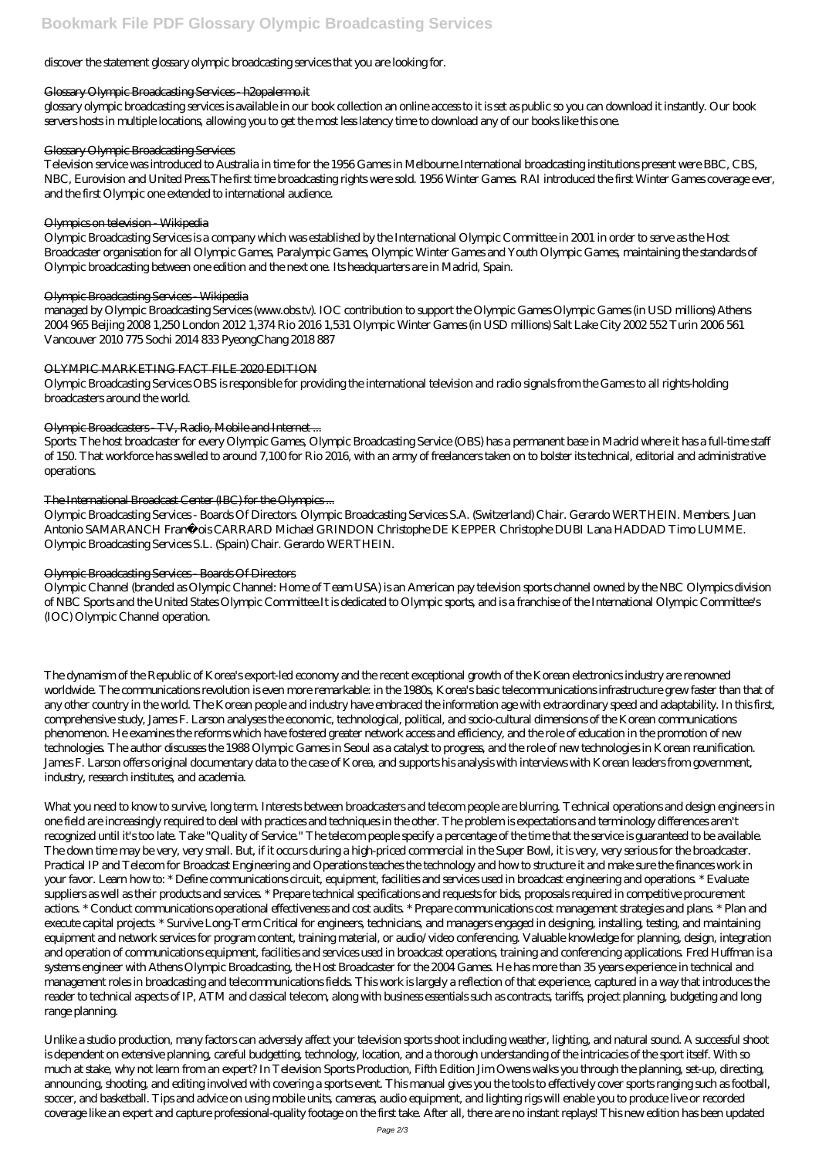# discover the statement glossary olympic broadcasting services that you are looking for.

### Glossary Olympic Broadcasting Services - h2opalermo.it

glossary olympic broadcasting services is available in our book collection an online access to it is set as public so you can download it instantly. Our book servers hosts in multiple locations, allowing you to get the most less latency time to download any of our books like this one.

### Glossary Olympic Broadcasting Services

Television service was introduced to Australia in time for the 1956 Games in Melbourne.International broadcasting institutions present were BBC, CBS, NBC, Eurovision and United Press.The first time broadcasting rights were sold. 1956 Winter Games. RAI introduced the first Winter Games coverage ever, and the first Olympic one extended to international audience.

### Olympics on television - Wikipedia

managed by Olympic Broadcasting Services (www.obs.tv). IOC contribution to support the Olympic Games Olympic Games (in USD millions) Athens 2004 965 Beijing 2008 1,250 London 2012 1,374 Rio 2016 1,531 Olympic Winter Games (in USD millions) Salt Lake City 2002 552 Turin 2006 561 Vancouver 2010 775 Sochi 2014 833 PyeongChang 2018 887

Olympic Broadcasting Services is a company which was established by the International Olympic Committee in 2001 in order to serve as the Host Broadcaster organisation for all Olympic Games, Paralympic Games, Olympic Winter Games and Youth Olympic Games, maintaining the standards of Olympic broadcasting between one edition and the next one. Its headquarters are in Madrid, Spain.

### Olympic Broadcasting Services - Wikipedia

### OLYMPIC MARKETING FACT FILE 2020 EDITION

Olympic Broadcasting Services OBS is responsible for providing the international television and radio signals from the Games to all rights-holding broadcasters around the world.

# Olympic Broadcasters TV, Radio, Mobile and Internet...

Sports: The host broadcaster for every Olympic Games, Olympic Broadcasting Service (OBS) has a permanent base in Madrid where it has a full-time staff of 150. That workforce has swelled to around 7,100 for Rio 2016, with an army of freelancers taken on to bolster its technical, editorial and administrative operations.

# The International Broadcast Center (IBC) for the Olympics ...

Olympic Broadcasting Services - Boards Of Directors. Olympic Broadcasting Services S.A. (Switzerland) Chair. Gerardo WERTHEIN. Members. Juan Antonio SAMARANCH François CARRARD Michael GRINDON Christophe DE KEPPER Christophe DUBI Lana HADDAD Timo LUMME. Olympic Broadcasting Services S.L. (Spain) Chair. Gerardo WERTHEIN.

# Olympic Broadcasting Services - Boards Of Directors

Olympic Channel (branded as Olympic Channel: Home of Team USA) is an American pay television sports channel owned by the NBC Olympics division of NBC Sports and the United States Olympic Committee.It is dedicated to Olympic sports, and is a franchise of the International Olympic Committee's (IOC) Olympic Channel operation.

The dynamism of the Republic of Korea's export-led economy and the recent exceptional growth of the Korean electronics industry are renowned worldwide. The communications revolution is even more remarkable: in the 1980s, Korea's basic telecommunications infrastructure grew faster than that of any other country in the world. The Korean people and industry have embraced the information age with extraordinary speed and adaptability. In this first, comprehensive study, James F. Larson analyses the economic, technological, political, and socio-cultural dimensions of the Korean communications phenomenon. He examines the reforms which have fostered greater network access and efficiency, and the role of education in the promotion of new technologies. The author discusses the 1988 Olympic Games in Seoul as a catalyst to progress, and the role of new technologies in Korean reunification. James F. Larson offers original documentary data to the case of Korea, and supports his analysis with interviews with Korean leaders from government, industry, research institutes, and academia.

What you need to know to survive, long term. Interests between broadcasters and telecom people are blurring. Technical operations and design engineers in one field are increasingly required to deal with practices and techniques in the other. The problem is expectations and terminology differences aren't recognized until it's too late. Take "Quality of Service." The telecom people specify a percentage of the time that the service is guaranteed to be available. The down time may be very, very small. But, if it occurs during a high-priced commercial in the Super Bowl, it is very, very serious for the broadcaster. Practical IP and Telecom for Broadcast Engineering and Operations teaches the technology and how to structure it and make sure the finances work in your favor. Learn how to: \* Define communications circuit, equipment, facilities and services used in broadcast engineering and operations. \* Evaluate suppliers as well as their products and services. \* Prepare technical specifications and requests for bids, proposals required in competitive procurement actions. \* Conduct communications operational effectiveness and cost audits. \* Prepare communications cost management strategies and plans. \* Plan and execute capital projects. \* Survive Long-Term Critical for engineers, technicians, and managers engaged in designing, installing, testing, and maintaining equipment and network services for program content, training material, or audio/video conferencing. Valuable knowledge for planning, design, integration and operation of communications equipment, facilities and services used in broadcast operations, training and conferencing applications. Fred Huffman is a systems engineer with Athens Olympic Broadcasting, the Host Broadcaster for the 2004 Games. He has more than 35 years experience in technical and management roles in broadcasting and telecommunications fields. This work is largely a reflection of that experience, captured in a way that introduces the reader to technical aspects of IP, ATM and classical telecom, along with business essentials such as contracts, tariffs, project planning, budgeting and long range planning.

Unlike a studio production, many factors can adversely affect your television sports shoot including weather, lighting, and natural sound. A successful shoot is dependent on extensive planning, careful budgetting, technology, location, and a thorough understanding of the intricacies of the sport itself. With so much at stake, why not learn from an expert? In Television Sports Production, Fifth Edition Jim Owens walks you through the planning, set-up, directing, announcing, shooting, and editing involved with covering a sports event. This manual gives you the tools to effectively cover sports ranging such as football, soccer, and basketball. Tips and advice on using mobile units, cameras, audio equipment, and lighting rigs will enable you to produce live or recorded coverage like an expert and capture professional-quality footage on the first take. After all, there are no instant replays! This new edition has been updated